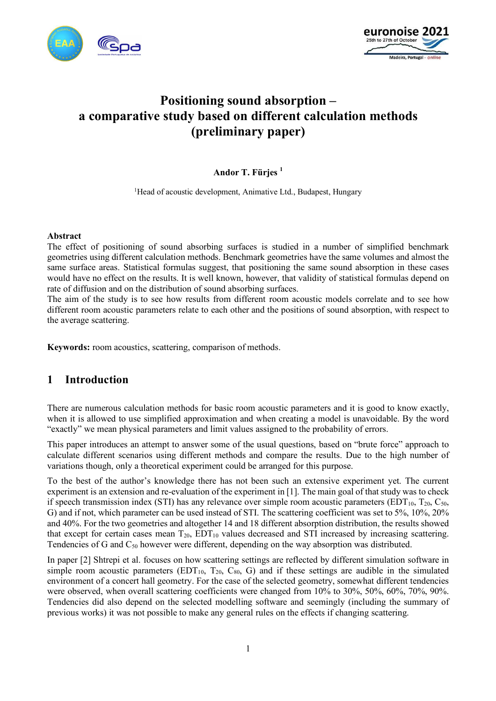



# **Positioning sound absorption – a comparative study based on different calculation methods (preliminary paper)**

### **Andor T. Fürjes <sup>1</sup>**

<sup>1</sup>Head of acoustic development, Animative Ltd., Budapest, Hungary

#### **Abstract**

The effect of positioning of sound absorbing surfaces is studied in a number of simplified benchmark geometries using different calculation methods. Benchmark geometries have the same volumes and almost the same surface areas. Statistical formulas suggest, that positioning the same sound absorption in these cases would have no effect on the results. It is well known, however, that validity of statistical formulas depend on rate of diffusion and on the distribution of sound absorbing surfaces.

The aim of the study is to see how results from different room acoustic models correlate and to see how different room acoustic parameters relate to each other and the positions of sound absorption, with respect to the average scattering.

**Keywords:** room acoustics, scattering, comparison of methods.

# **1 Introduction**

There are numerous calculation methods for basic room acoustic parameters and it is good to know exactly, when it is allowed to use simplified approximation and when creating a model is unavoidable. By the word "exactly" we mean physical parameters and limit values assigned to the probability of errors.

This paper introduces an attempt to answer some of the usual questions, based on "brute force" approach to calculate different scenarios using different methods and compare the results. Due to the high number of variations though, only a theoretical experiment could be arranged for this purpose.

To the best of the author's knowledge there has not been such an extensive experiment yet. The current experiment is an extension and re-evaluation of the experiment in [1]. The main goal of that study was to check if speech transmission index (STI) has any relevance over simple room acoustic parameters (EDT<sub>10</sub>, T<sub>20</sub>, C<sub>50</sub>, G) and if not, which parameter can be used instead of STI. The scattering coefficient was set to 5%, 10%, 20% and 40%. For the two geometries and altogether 14 and 18 different absorption distribution, the results showed that except for certain cases mean  $T_{20}$ ,  $EDT_{10}$  values decreased and STI increased by increasing scattering. Tendencies of G and  $C_{50}$  however were different, depending on the way absorption was distributed.

In paper [2] Shtrepi et al. focuses on how scattering settings are reflected by different simulation software in simple room acoustic parameters  $(EDT_{10}$ ,  $T_{20}$ ,  $C_{80}$ , G) and if these settings are audible in the simulated environment of a concert hall geometry. For the case of the selected geometry, somewhat different tendencies were observed, when overall scattering coefficients were changed from 10% to 30%, 50%, 60%, 70%, 90%. Tendencies did also depend on the selected modelling software and seemingly (including the summary of previous works) it was not possible to make any general rules on the effects if changing scattering.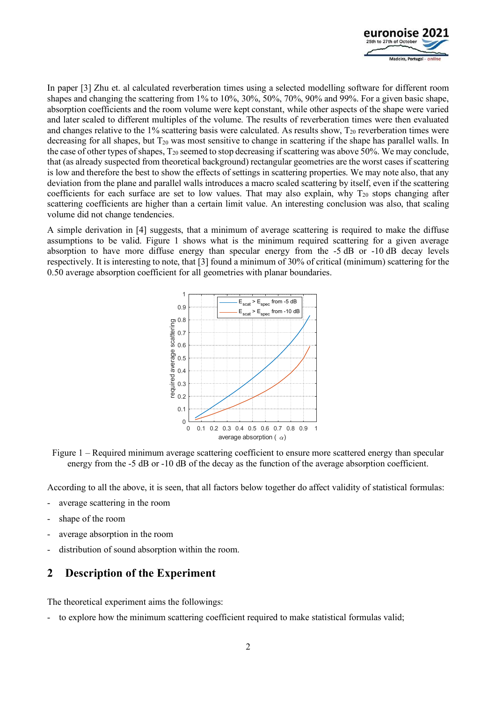

In paper [3] Zhu et. al calculated reverberation times using a selected modelling software for different room shapes and changing the scattering from 1% to 10%, 30%, 50%, 70%, 90% and 99%. For a given basic shape, absorption coefficients and the room volume were kept constant, while other aspects of the shape were varied and later scaled to different multiples of the volume. The results of reverberation times were then evaluated and changes relative to the 1% scattering basis were calculated. As results show,  $T_{20}$  reverberation times were decreasing for all shapes, but  $T_{20}$  was most sensitive to change in scattering if the shape has parallel walls. In the case of other types of shapes,  $T_{20}$  seemed to stop decreasing if scattering was above 50%. We may conclude, that (as already suspected from theoretical background) rectangular geometries are the worst cases if scattering is low and therefore the best to show the effects of settings in scattering properties. We may note also, that any deviation from the plane and parallel walls introduces a macro scaled scattering by itself, even if the scattering coefficients for each surface are set to low values. That may also explain, why  $T_{20}$  stops changing after scattering coefficients are higher than a certain limit value. An interesting conclusion was also, that scaling volume did not change tendencies.

A simple derivation in [4] suggests, that a minimum of average scattering is required to make the diffuse assumptions to be valid. Figure 1 shows what is the minimum required scattering for a given average absorption to have more diffuse energy than specular energy from the -5 dB or -10 dB decay levels respectively. It is interesting to note, that [3] found a minimum of 30% of critical (minimum) scattering for the 0.50 average absorption coefficient for all geometries with planar boundaries.



Figure 1 – Required minimum average scattering coefficient to ensure more scattered energy than specular energy from the -5 dB or -10 dB of the decay as the function of the average absorption coefficient.

According to all the above, it is seen, that all factors below together do affect validity of statistical formulas:

- average scattering in the room
- shape of the room
- average absorption in the room
- distribution of sound absorption within the room.

### **2 Description of the Experiment**

The theoretical experiment aims the followings:

to explore how the minimum scattering coefficient required to make statistical formulas valid;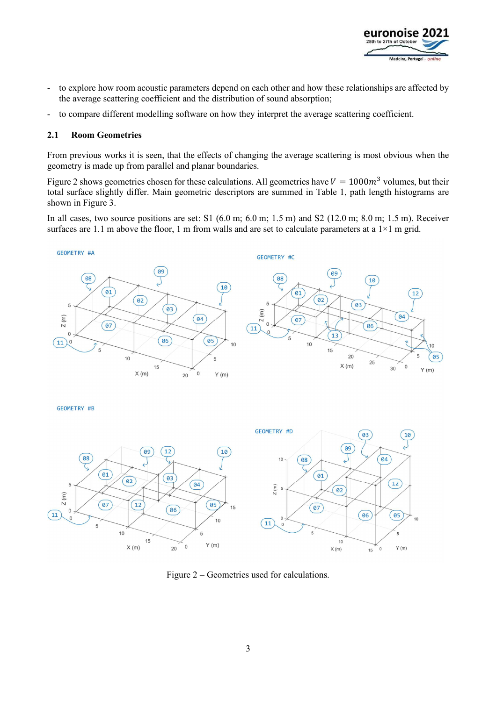

- to explore how room acoustic parameters depend on each other and how these relationships are affected by the average scattering coefficient and the distribution of sound absorption;
- to compare different modelling software on how they interpret the average scattering coefficient.

#### **2.1 Room Geometries**

From previous works it is seen, that the effects of changing the average scattering is most obvious when the geometry is made up from parallel and planar boundaries.

Figure 2 shows geometries chosen for these calculations. All geometries have  $V = 1000m^3$  volumes, but their total surface slightly differ. Main geometric descriptors are summed in Table 1, path length histograms are shown in Figure 3.

In all cases, two source positions are set: S1  $(6.0 \text{ m}; 6.0 \text{ m}; 1.5 \text{ m})$  and S2  $(12.0 \text{ m}; 8.0 \text{ m}; 1.5 \text{ m})$ . Receiver surfaces are 1.1 m above the floor, 1 m from walls and are set to calculate parameters at a  $1\times1$  m grid.



GEOMETRY #B



Figure 2 – Geometries used for calculations.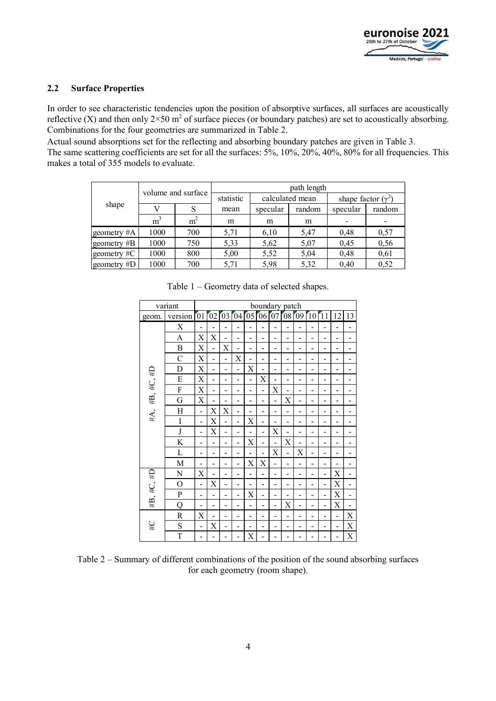

### **2.2 Surface Properties**

In order to see characteristic tendencies upon the position of absorptive surfaces, all surfaces are acoustically reflective (X) and then only  $2 \times 50$  m<sup>2</sup> of surface pieces (or boundary patches) are set to acoustically absorbing. Combinations for the four geometries are summarized in Table 2.

Actual sound absorptions set for the reflecting and absorbing boundary patches are given in Table 3.

The same scattering coefficients are set for all the surfaces: 5%, 10%, 20%, 40%, 80% for all frequencies. This makes a total of 355 models to evaluate.

|             |                | volume and surface | path length |          |                 |                           |        |  |  |  |  |  |  |  |
|-------------|----------------|--------------------|-------------|----------|-----------------|---------------------------|--------|--|--|--|--|--|--|--|
|             |                |                    | statistic   |          | calculated mean | shape factor $(\gamma^2)$ |        |  |  |  |  |  |  |  |
| shape       |                | S                  | mean        | specular | random          | specular                  | random |  |  |  |  |  |  |  |
|             | m <sup>3</sup> | m <sup>2</sup>     | m           | m        | m               |                           |        |  |  |  |  |  |  |  |
| geometry #A | 1000           | 700                | 5,71        | 6,10     | 5,47            | 0,48                      | 0,57   |  |  |  |  |  |  |  |
| geometry #B | 1000           | 750                | 5,33        | 5,62     | 5,07            | 0,45                      | 0,56   |  |  |  |  |  |  |  |
| geometry #C | 1000           | 800                |             | 5,52     | 5,04            | 0,48                      | 0,61   |  |  |  |  |  |  |  |
| geometry #D | 1000           | 700                |             | 5,98     | 5,32            | 0,40                      | 0,52   |  |  |  |  |  |  |  |

|                | variant                                        | boundary patch |                          |                          |                |                |                          |                |                          |                |    |                |                |                |  |
|----------------|------------------------------------------------|----------------|--------------------------|--------------------------|----------------|----------------|--------------------------|----------------|--------------------------|----------------|----|----------------|----------------|----------------|--|
| geom.          | version $\boxed{01}$ $\boxed{02}$ $\boxed{03}$ |                |                          |                          | 04             | 05             | 06                       | 07             | 08[09]                   |                | 10 | 11             | 12             | 13             |  |
|                | $\boldsymbol{\mathrm{X}}$                      |                |                          |                          |                |                | -                        |                |                          |                |    |                |                |                |  |
|                | A                                              | X              | X                        |                          |                |                | -                        |                |                          |                |    |                |                | -              |  |
|                | $\boldsymbol{B}$                               | X              | $\overline{\phantom{0}}$ | X                        |                | -              | -                        | -              | -                        |                |    |                |                |                |  |
|                | $\overline{C}$                                 | $\mathbf X$    | $\blacksquare$           | $\blacksquare$           | X              | $\overline{a}$ | $\overline{a}$           | $\blacksquare$ | $\blacksquare$           | $\blacksquare$ | ۰  |                | $\blacksquare$ | $\blacksquare$ |  |
|                | D                                              | $\mathbf X$    | L.                       | $\overline{ }$           | L.             | X              | -                        | $\blacksquare$ | -                        | ۰              |    |                |                | -              |  |
|                | ${\bf E}$                                      | $\mathbf X$    |                          |                          |                |                | X                        |                | $\overline{\phantom{0}}$ |                |    |                |                |                |  |
|                | ${\bf F}$                                      | X              | L.                       | -                        | Ξ.             | ÷              | ÷                        | X              | -                        | $\blacksquare$ |    |                | -              | -              |  |
| #A, #B, #C, #D | G                                              | $\mathbf X$    |                          |                          | $\blacksquare$ | L,             | L.                       | $\overline{a}$ | X                        | $\blacksquare$ |    |                | L.             |                |  |
|                | H                                              | $\overline{a}$ | $\mathbf X$              | X                        | $\overline{a}$ |                | -                        | $\overline{a}$ | ÷                        | -              |    |                |                | -              |  |
|                | I                                              | L              | X                        | L,                       |                | X              | -                        |                | -                        |                |    |                |                |                |  |
|                | $\bf J$                                        |                | X                        |                          |                |                | $\overline{\phantom{0}}$ | X              |                          | -              |    |                |                |                |  |
|                | K                                              | -              | -                        | -                        | -              | X              | -                        | -              | X                        | -              |    |                |                | -              |  |
|                | L                                              | $\blacksquare$ | -                        | $\overline{\phantom{0}}$ |                | -              | ÷                        | X              | $\overline{a}$           | $\mathbf X$    |    |                |                | -              |  |
|                | M                                              |                |                          |                          |                | X              | X                        | $\overline{a}$ | ÷                        |                |    |                |                | -              |  |
|                | N                                              | $\mathbf X$    |                          | $\blacksquare$           |                | $\blacksquare$ | $\overline{\phantom{0}}$ | -              | $\overline{\phantom{0}}$ | ÷              |    |                | X              | $\blacksquare$ |  |
|                | $\overline{O}$                                 | L              | $\mathbf X$              |                          |                |                | -                        | -              |                          | -              |    |                | $\mathbf X$    |                |  |
| #B, #C, #D     | $\mathbf P$                                    | -              |                          | -                        | ۰              | X              | $\blacksquare$           | $\blacksquare$ | ÷                        | $\blacksquare$ |    | $\overline{a}$ | X              | $\overline{a}$ |  |
|                | Q                                              |                | -                        | -                        |                | -              | -                        | $\overline{a}$ | X                        | $\overline{a}$ |    | $\blacksquare$ | Χ              | $\blacksquare$ |  |
|                | R                                              | X              |                          |                          |                | -              | -                        |                |                          |                |    |                | $\blacksquare$ | X              |  |
| $\#C$          | S                                              | L.             | $\mathbf X$              | ۰                        | $\blacksquare$ | -              | -                        | -              | -                        | -              |    |                | $\blacksquare$ | X              |  |
|                | T                                              |                |                          |                          |                | X              | -                        |                |                          |                |    |                |                | X              |  |

Table 1 – Geometry data of selected shapes.

Table 2 – Summary of different combinations of the position of the sound absorbing surfaces for each geometry (room shape).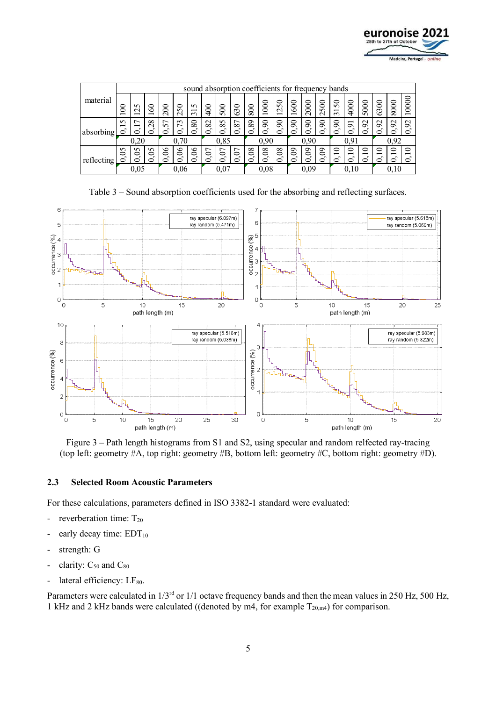

|            |                    | sound absorption coefficients for frequency bands |                                          |               |                          |                                                |         |                      |                      |                      |             |                                 |         |                        |                                  |                                                     |                                                 |                         |                                    |                           |                     |
|------------|--------------------|---------------------------------------------------|------------------------------------------|---------------|--------------------------|------------------------------------------------|---------|----------------------|----------------------|----------------------|-------------|---------------------------------|---------|------------------------|----------------------------------|-----------------------------------------------------|-------------------------------------------------|-------------------------|------------------------------------|---------------------------|---------------------|
| material   | ⊂                  | $\Omega$<br>$\sim$                                | ∊<br>७                                   | ⊂<br>⊂        | ⊂<br>$\Omega$<br>$\sim$  | $\Omega$<br>$\overline{\phantom{0}}$<br>$\sim$ | ⊂<br>Ğ  | ⊂<br>$\Omega$        | ⊂<br>$\sim$<br>৩     | 800                  | $_{\rm 80}$ | 250<br>$\overline{\phantom{0}}$ | 600     | 800<br>$\mathbf{\sim}$ | 8<br>$\Omega$<br>$\mathbf{\sim}$ | $\mathcal{S}$<br>$\overline{\phantom{0}}$<br>$\sim$ | 4000                                            | $_{\rm 80}$<br>$\Omega$ | 6300                               | 8000                      | ⊂<br>$\overline{8}$ |
| absorbing  | $\Omega$<br>−<br>⊂ | −                                                 | ${}^{\circ}$<br>$\sim$<br>$\bullet$<br>≘ | ∼<br>$\Omega$ | 73                       | 80<br>$\bullet$<br>⊂                           | 82<br>⊂ | $\sigma$<br>$\infty$ | $\overline{ }$<br>òo | 89<br>$\bullet$<br>っ | 8           | $\infty$<br>⊂                   | S<br>≘  | $\infty$<br>⊂          | 50                               | ⊂<br>$\bar{\sigma}$                                 | $\overline{\phantom{0}}$<br>ഗ<br>っ              | $\mathbf{\sim}$<br>ہ    | $\mathcal{S}$<br>⊂                 | 92<br>$\cdot$<br>≘        | $\mathcal{S}$<br>⊂  |
|            | 0,20               |                                                   | 0.70                                     |               | 0,85                     |                                                |         | 0.90                 |                      | 0.90                 |             | 0,91                            |         |                        | 0.92                             |                                                     |                                                 |                         |                                    |                           |                     |
| reflecting | $\mathcal{S}$      | $\Omega$<br>0<br>⊂                                | SO<br>$\bullet$<br>0                     | S             | $\infty$<br>$\mathbf{c}$ | $\infty$<br>$\bullet$<br>⊂                     | S)<br>⊂ | 5                    | S)<br>⊂              | $8^{\circ}$<br>≘     | $\infty$    | 80<br>$\mathsf{d}$              | නි<br>⊂ | නි<br>⊂                | $\infty$<br>$\bullet$            | ⊂<br>$\overline{\phantom{0}}$                       | 0<br>$\overline{\phantom{0}}$<br>$\bullet$<br>≘ | 0                       | ⊂<br>$\overline{\phantom{0}}$<br>⌒ | ⊂<br>─<br>$\sqrt{2}$<br>≘ | ⊂<br>⊂              |
|            | $0.05\,$           |                                                   | 0.06                                     |               | 0.07                     |                                                | 0.08    |                      |                      | 0,09                 |             |                                 | 0,10    |                        |                                  | 0.10                                                |                                                 |                         |                                    |                           |                     |

Table 3 – Sound absorption coefficients used for the absorbing and reflecting surfaces.



Figure 3 – Path length histograms from S1 and S2, using specular and random relfected ray-tracing (top left: geometry #A, top right: geometry #B, bottom left: geometry #C, bottom right: geometry #D).

#### **2.3 Selected Room Acoustic Parameters**

For these calculations, parameters defined in ISO 3382-1 standard were evaluated:

- reverberation time:  $T_{20}$
- early decay time:  $EDT_{10}$
- strength: G
- clarity:  $C_{50}$  and  $C_{80}$
- lateral efficiency:  $LF<sub>80</sub>$ .

Parameters were calculated in  $1/3^{rd}$  or  $1/1$  octave frequency bands and then the mean values in 250 Hz, 500 Hz, 1 kHz and 2 kHz bands were calculated ((denoted by m4, for example  $T_{20,m4}$ ) for comparison.